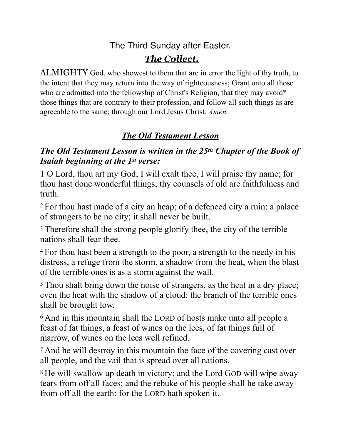## The Third Sunday after Easter.

# *The Collect.*

ALMIGHTY God, who showest to them that are in error the light of thy truth, to the intent that they may return into the way of righteousness; Grant unto all those who are admitted into the fellowship of Christ's Religion, that they may avoid<sup>\*</sup> those things that are contrary to their profession, and follow all such things as are agreeable to the same; through our Lord Jesus Christ. *Amen.*

# *The Old Testament Lesson*

## *The Old Testament Lesson is written in the 25th Chapter of the Book of Isaiah beginning at the 1st verse:*

1 O Lord, thou art my God; I will exalt thee, I will praise thy name; for thou hast done wonderful things; thy counsels of old are faithfulness and truth.

2 For thou hast made of a city an heap; of a defenced city a ruin: a palace of strangers to be no city; it shall never be built.

<sup>3</sup> Therefore shall the strong people glorify thee, the city of the terrible nations shall fear thee.

4 For thou hast been a strength to the poor, a strength to the needy in his distress, a refuge from the storm, a shadow from the heat, when the blast of the terrible ones is as a storm against the wall.

5 Thou shalt bring down the noise of strangers, as the heat in a dry place; even the heat with the shadow of a cloud: the branch of the terrible ones shall be brought low.

6 And in this mountain shall the LORD of hosts make unto all people a feast of fat things, a feast of wines on the lees, of fat things full of marrow, of wines on the lees well refined.

7 And he will destroy in this mountain the face of the covering cast over all people, and the vail that is spread over all nations.

8 He will swallow up death in victory; and the Lord GOD will wipe away tears from off all faces; and the rebuke of his people shall he take away from off all the earth: for the LORD hath spoken it.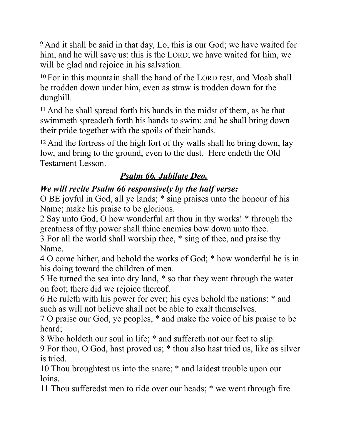9 And it shall be said in that day, Lo, this is our God; we have waited for him, and he will save us: this is the LORD; we have waited for him, we will be glad and rejoice in his salvation.

10 For in this mountain shall the hand of the LORD rest, and Moab shall be trodden down under him, even as straw is trodden down for the dunghill.

11 And he shall spread forth his hands in the midst of them, as he that swimmeth spreadeth forth his hands to swim: and he shall bring down their pride together with the spoils of their hands.

12 And the fortress of the high fort of thy walls shall he bring down, lay low, and bring to the ground, even to the dust. Here endeth the Old Testament Lesson.

## *Psalm 66. Jubilate Deo.*

## *We will recite Psalm 66 responsively by the half verse:*

O BE joyful in God, all ye lands; \* sing praises unto the honour of his Name; make his praise to be glorious.

2 Say unto God, O how wonderful art thou in thy works! \* through the greatness of thy power shall thine enemies bow down unto thee.

3 For all the world shall worship thee, \* sing of thee, and praise thy Name.

4 O come hither, and behold the works of God; \* how wonderful he is in his doing toward the children of men.

5 He turned the sea into dry land, \* so that they went through the water on foot; there did we rejoice thereof.

6 He ruleth with his power for ever; his eyes behold the nations: \* and such as will not believe shall not be able to exalt themselves.

7 O praise our God, ye peoples, \* and make the voice of his praise to be heard;

8 Who holdeth our soul in life; \* and suffereth not our feet to slip.

9 For thou, O God, hast proved us; \* thou also hast tried us, like as silver is tried.

10 Thou broughtest us into the snare; \* and laidest trouble upon our loins.

11 Thou sufferedst men to ride over our heads; \* we went through fire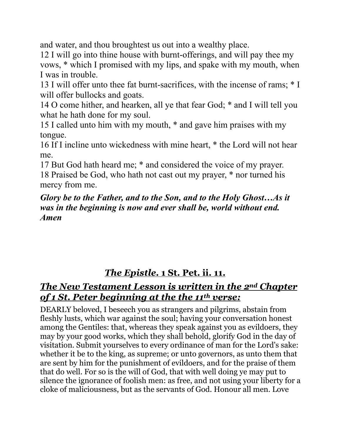and water, and thou broughtest us out into a wealthy place.

12 I will go into thine house with burnt-offerings, and will pay thee my vows, \* which I promised with my lips, and spake with my mouth, when I was in trouble.

13 I will offer unto thee fat burnt-sacrifices, with the incense of rams; \* I will offer bullocks and goats.

14 O come hither, and hearken, all ye that fear God; \* and I will tell you what he hath done for my soul.

15 I called unto him with my mouth, \* and gave him praises with my tongue.

16 If I incline unto wickedness with mine heart, \* the Lord will not hear me.

17 But God hath heard me; \* and considered the voice of my prayer.

18 Praised be God, who hath not cast out my prayer, \* nor turned his mercy from me.

#### *Glory be to the Father, and to the Son, and to the Holy Ghost…As it was in the beginning is now and ever shall be, world without end. Amen*

# *The Epistle.* **1 St. Pet. ii. 11.**

## *The New Testament Lesson is written in the 2nd Chapter of 1 St. Peter beginning at the the 11th verse:*

DEARLY beloved, I beseech you as strangers and pilgrims, abstain from fleshly lusts, which war against the soul; having your conversation honest among the Gentiles: that, whereas they speak against you as evildoers, they may by your good works, which they shall behold, glorify God in the day of visitation. Submit yourselves to every ordinance of man for the Lord's sake: whether it be to the king, as supreme; or unto governors, as unto them that are sent by him for the punishment of evildoers, and for the praise of them that do well. For so is the will of God, that with well doing ye may put to silence the ignorance of foolish men: as free, and not using your liberty for a cloke of maliciousness, but as the servants of God. Honour all men. Love